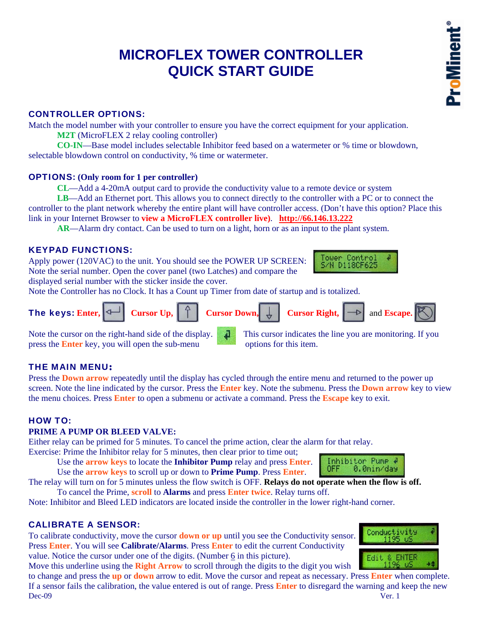# **MICROFLEX TOWER CONTROLLER QUICK START GUIDE**

# CONTROLLER OPTIONS:

Match the model number with your controller to ensure you have the correct equipment for your application.

**M2T** (MicroFLEX 2 relay cooling controller)

**CO-IN**—Base model includes selectable Inhibitor feed based on a watermeter or % time or blowdown, selectable blowdown control on conductivity, % time or watermeter.

#### OPTIONS: **(Only room for 1 per controller)**

**CL**—Add a 4-20mA output card to provide the conductivity value to a remote device or system

**LB**—Add an Ethernet port. This allows you to connect directly to the controller with a PC or to connect the controller to the plant network whereby the entire plant will have controller access. (Don't have this option? Place this link in your Internet Browser to **view a MicroFLEX controller live)**. **http://66.146.13.222**

**AR**—Alarm dry contact. Can be used to turn on a light, horn or as an input to the plant system.

## KEYPAD FUNCTIONS:

Apply power (120VAC) to the unit. You should see the POWER UP SCREEN: Note the serial number. Open the cover panel (two Latches) and compare the

displayed serial number with the sticker inside the cover.

Note the Controller has no Clock. It has a Count up Timer from date of startup and is totalized.

| The keys: Enter, $\boxed{\triangleleft}$ Cursor Up, $\boxed{\uparrow}$ Cursor Down, $\boxed{\downarrow}$ Cursor Right, $\boxed{\rightarrow}$ and Escape. |  |  |  |  |
|----------------------------------------------------------------------------------------------------------------------------------------------------------|--|--|--|--|
|----------------------------------------------------------------------------------------------------------------------------------------------------------|--|--|--|--|

press the **Enter** key, you will open the sub-menu options for this item.

Note the cursor on the right-hand side of the display. This cursor indicates the line you are monitoring. If you

## THE MAIN MENU:

Press the **Down arrow** repeatedly until the display has cycled through the entire menu and returned to the power up screen. Note the line indicated by the cursor. Press the **Enter** key. Note the submenu. Press the **Down arrow** key to view the menu choices. Press **Enter** to open a submenu or activate a command. Press the **Escape** key to exit.

# HOW TO:

#### **PRIME A PUMP OR BLEED VALVE:**

Either relay can be primed for 5 minutes. To cancel the prime action, clear the alarm for that relay.

Exercise: Prime the Inhibitor relay for 5 minutes, then clear prior to time out;

 Use the **arrow keys** to locate the **Inhibitor Pump** relay and press **Enter**. Use the **arrow keys** to scroll up or down to **Prime Pump**. Press **Enter**.

The relay will turn on for 5 minutes unless the flow switch is OFF. **Relays do not operate when the flow is off.**  To cancel the Prime, **scroll** to **Alarms** and press **Enter twice**. Relay turns off.

Note: Inhibitor and Bleed LED indicators are located inside the controller in the lower right-hand corner.

## CALIBRATE A SENSOR:

To calibrate conductivity, move the cursor **down or up** until you see the Conductivity sensor. Press **Enter**. You will see **Calibrate/Alarms**. Press **Enter** to edit the current Conductivity value. Notice the cursor under one of the digits. (Number 6 in this picture).

Move this underline using the **Right Arrow** to scroll through the digits to the digit you wish

Dec-09 Ver. 1 to change and press the **up** or **down** arrow to edit. Move the cursor and repeat as necessary. Press **Enter** when complete. If a sensor fails the calibration, the value entered is out of range. Press **Enter** to disregard the warning and keep the new





Inhibitor Pump #

0.0min/day

OFF